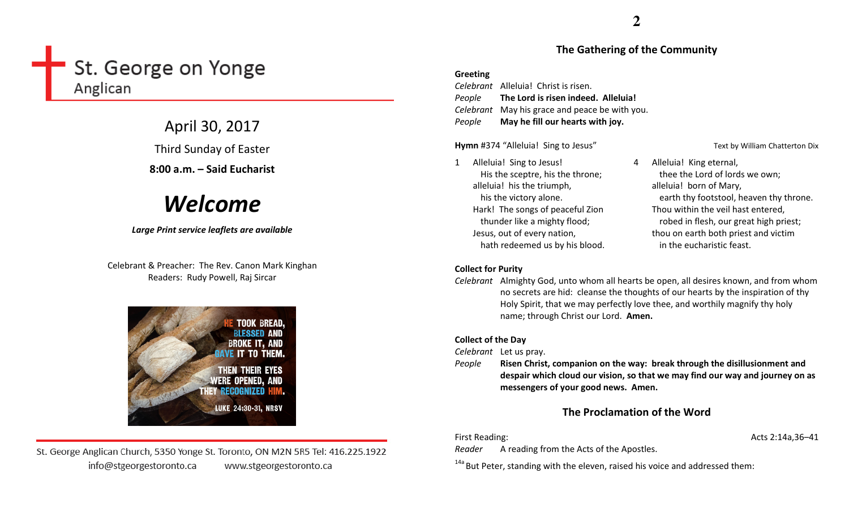# St. George on Yonge Anglican

April 30, 2017 Third Sunday of Easter 8:00 a.m. – Said Eucharist

# Welcome

# Large Print service leaflets are available

Celebrant & Preacher: The Rev. Canon Mark Kinghan Readers: Rudy Powell, Raj Sircar



St. George Anglican Church, 5350 Yonge St. Toronto, ON M2N 5R5 Tel: 416.225.1922 info@stgeorgestoronto.ca www.stgeorgestoronto.ca

# The Gathering of the Community

## Greeting

Celebrant Alleluia! Christ is risen. People The Lord is risen indeed. Alleluia! Celebrant May his grace and peace be with you. PeopleMay he fill our hearts with joy.

Hymn #374 "Alleluia! Sing to Jesus" Text by William Chatterton Dix

# 1 Alleluia! Sing to Jesus! His the sceptre, his the throne; alleluia! his the triumph, his the victory alone. Hark! The songs of peaceful Zion thunder like a mighty flood; Jesus, out of every nation, hath redeemed us by his blood.

# Collect for Purity

Celebrant Almighty God, unto whom all hearts be open, all desires known, and from whom no secrets are hid: cleanse the thoughts of our hearts by the inspiration of thy Holy Spirit, that we may perfectly love thee, and worthily magnify thy holy name; through Christ our Lord. Amen.

# Collect of the Day

Celebrant Let us pray.

People Risen Christ, companion on the way: break through the disillusionment and despair which cloud our vision, so that we may find our way and journey on as messengers of your good news. Amen.

# The Proclamation of the Word

First Reading: Acts 2:14a,36–41

Reader A reading from the Acts of the Apostles.

 $14a$  But Peter, standing with the eleven, raised his voice and addressed them:

4 Alleluia! King eternal, thee the Lord of lords we own; alleluia! born of Mary, earth thy footstool, heaven thy throne. Thou within the veil hast entered, robed in flesh, our great high priest; thou on earth both priest and victim in the eucharistic feast.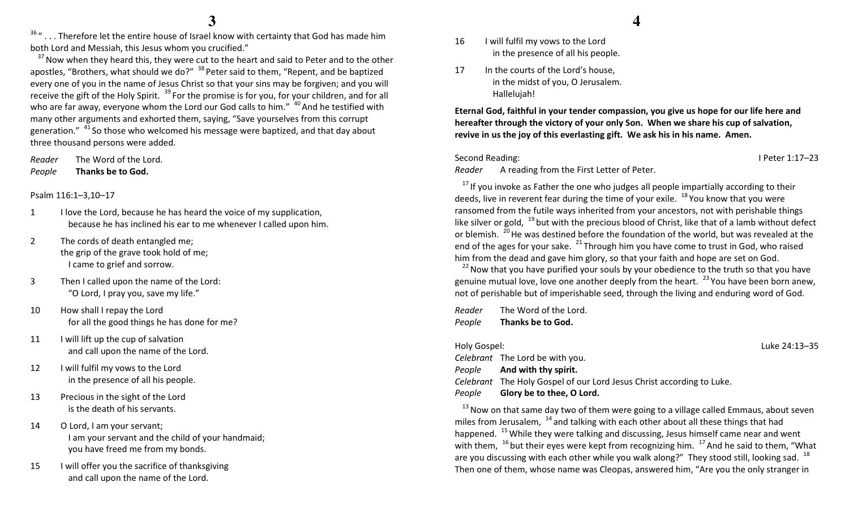$36$  "... Therefore let the entire house of Israel know with certainty that God has made him both Lord and Messiah, this Jesus whom you crucified."

 $37$  Now when they heard this, they were cut to the heart and said to Peter and to the other apostles, "Brothers, what should we do?" <sup>38</sup> Peter said to them, "Repent, and be baptized every one of you in the name of Jesus Christ so that your sins may be forgiven; and you will receive the gift of the Holy Spirit.  $^{39}$  For the promise is for you, for your children, and for all who are far away, everyone whom the Lord our God calls to him." <sup>40</sup> And he testified with many other arguments and exhorted them, saying, "Save yourselves from this corrupt generation."  $41$  So those who welcomed his message were baptized, and that day about three thousand persons were added.

Reader The Word of the Lord. PeopleThanks be to God.

# Psalm 116:1–3,10–17

- 1 I love the Lord, because he has heard the voice of my supplication, because he has inclined his ear to me whenever I called upon him.
- 2 The cords of death entangled me; the grip of the grave took hold of me; I came to grief and sorrow.
- 3 Then I called upon the name of the Lord: "O Lord, I pray you, save my life."
- 10 How shall I repay the Lord for all the good things he has done for me?
- 11 I will lift up the cup of salvation and call upon the name of the Lord.
- 12 I will fulfil my vows to the Lord in the presence of all his people.
- 13 Precious in the sight of the Lord is the death of his servants.
- 14 O Lord, I am your servant; I am your servant and the child of your handmaid; you have freed me from my bonds.
- 15 I will offer you the sacrifice of thanksgiving and call upon the name of the Lord.
- 16 I will fulfil my vows to the Lord in the presence of all his people.
- 17 In the courts of the Lord's house. in the midst of you, O Jerusalem. Hallelujah!

Eternal God, faithful in your tender compassion, you give us hope for our life here and hereafter through the victory of your only Son. When we share his cup of salvation, revive in us the joy of this everlasting gift. We ask his in his name. Amen.

Second Reading: I Peter 1:17–23

Reader A reading from the First Letter of Peter.

 $17$  If you invoke as Father the one who judges all people impartially according to their deeds, live in reverent fear during the time of your exile. <sup>18</sup> You know that you were ransomed from the futile ways inherited from your ancestors, not with perishable things like silver or gold,  $^{19}$  but with the precious blood of Christ, like that of a lamb without defect or blemish.  $^{20}$  He was destined before the foundation of the world, but was revealed at the end of the ages for your sake.  $^{21}$  Through him you have come to trust in God, who raised him from the dead and gave him glory, so that your faith and hope are set on God.

 $^{22}$  Now that you have purified your souls by your obedience to the truth so that you have genuine mutual love, love one another deeply from the heart.  $^{23}$  You have been born anew, not of perishable but of imperishable seed, through the living and enduring word of God.

Reader The Word of the Lord. PeopleThanks be to God.

Holy Gospel: Luke 24:13–35 Celebrant The Lord be with you. People And with thy spirit. Celebrant The Holy Gospel of our Lord Jesus Christ according to Luke. PeopleGlory be to thee, O Lord.

 $13$  Now on that same day two of them were going to a village called Emmaus, about seven miles from Jerusalem,  $14$  and talking with each other about all these things that had happened.  $^{15}$  While they were talking and discussing, Jesus himself came near and went with them,  $16$  but their eyes were kept from recognizing him.  $17$  And he said to them, "What are you discussing with each other while you walk along?" They stood still, looking sad.  $^{18}$ Then one of them, whose name was Cleopas, answered him, "Are you the only stranger in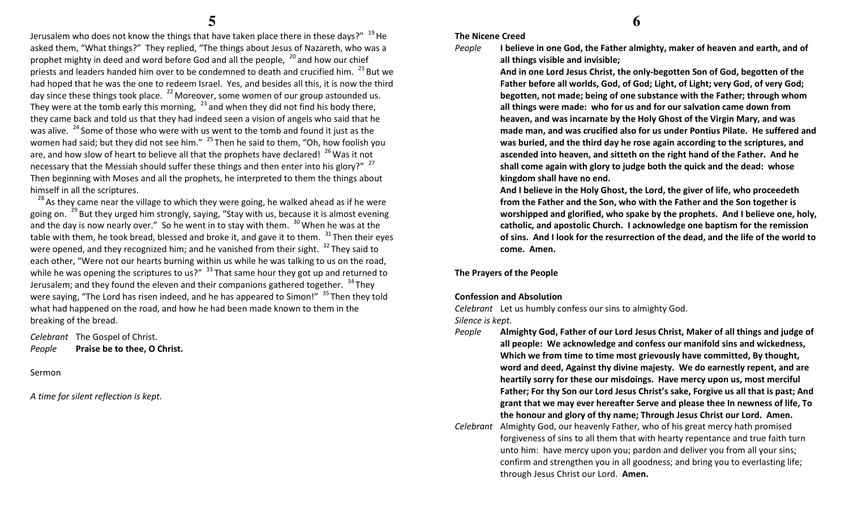Jerusalem who does not know the things that have taken place there in these days?" <sup>19</sup>He asked them, "What things?" They replied, "The things about Jesus of Nazareth, who was a prophet mighty in deed and word before God and all the people,  $20$  and how our chief priests and leaders handed him over to be condemned to death and crucified him.  $^{21}$  But we had hoped that he was the one to redeem Israel. Yes, and besides all this, it is now the third day since these things took place.  $^{22}$  Moreover, some women of our group astounded us. They were at the tomb early this morning,  $^{23}$  and when they did not find his body there, they came back and told us that they had indeed seen a vision of angels who said that he was alive.  $24$  Some of those who were with us went to the tomb and found it just as the women had said; but they did not see him."  $25$  Then he said to them, "Oh, how foolish you are, and how slow of heart to believe all that the prophets have declared!  $^{26}$  Was it not necessary that the Messiah should suffer these things and then enter into his glory?"  $27$ Then beginning with Moses and all the prophets, he interpreted to them the things about himself in all the scriptures.

 $^{28}$  As they came near the village to which they were going, he walked ahead as if he were going on. <sup>29</sup> But they urged him strongly, saying, "Stay with us, because it is almost evening and the day is now nearly over." So he went in to stay with them.  $30$  When he was at the table with them, he took bread, blessed and broke it, and gave it to them.  $31$  Then their eyes were opened, and they recognized him; and he vanished from their sight.  $32$  They said to each other, "Were not our hearts burning within us while he was talking to us on the road, while he was opening the scriptures to us?"  $33$  That same hour they got up and returned to Jerusalem; and they found the eleven and their companions gathered together.  $34$ They were saying, "The Lord has risen indeed, and he has appeared to Simon!" <sup>35</sup>Then they told what had happened on the road, and how he had been made known to them in the breaking of the bread.

Celebrant The Gospel of Christ. PeoplePraise be to thee, O Christ.

Sermon

A time for silent reflection is kept.

# The Nicene Creed

#### People I believe in one God, the Father almighty, maker of heaven and earth, and of all things visible and invisible;

And in one Lord Jesus Christ, the only-begotten Son of God, begotten of the Father before all worlds, God, of God; Light, of Light; very God, of very God; begotten, not made; being of one substance with the Father; through whom all things were made: who for us and for our salvation came down from heaven, and was incarnate by the Holy Ghost of the Virgin Mary, and was made man, and was crucified also for us under Pontius Pilate. He suffered and was buried, and the third day he rose again according to the scriptures, and ascended into heaven, and sitteth on the right hand of the Father. And he shall come again with glory to judge both the quick and the dead: whose kingdom shall have no end.

And I believe in the Holy Ghost, the Lord, the giver of life, who proceedeth from the Father and the Son, who with the Father and the Son together is worshipped and glorified, who spake by the prophets. And I believe one, holy, catholic, and apostolic Church. I acknowledge one baptism for the remission of sins. And I look for the resurrection of the dead, and the life of the world to come. Amen.

# The Prayers of the People

# Confession and Absolution

Celebrant Let us humbly confess our sins to almighty God.

Silence is kept.

- People Almighty God, Father of our Lord Jesus Christ, Maker of all things and judge of all people: We acknowledge and confess our manifold sins and wickedness, Which we from time to time most grievously have committed, By thought, word and deed, Against thy divine majesty. We do earnestly repent, and are heartily sorry for these our misdoings. Have mercy upon us, most merciful Father; For thy Son our Lord Jesus Christ's sake, Forgive us all that is past; And grant that we may ever hereafter Serve and please thee In newness of life, To the honour and glory of thy name; Through Jesus Christ our Lord. Amen.
- Celebrant Almighty God, our heavenly Father, who of his great mercy hath promised forgiveness of sins to all them that with hearty repentance and true faith turn unto him: have mercy upon you; pardon and deliver you from all your sins; confirm and strengthen you in all goodness; and bring you to everlasting life; through Jesus Christ our Lord. Amen.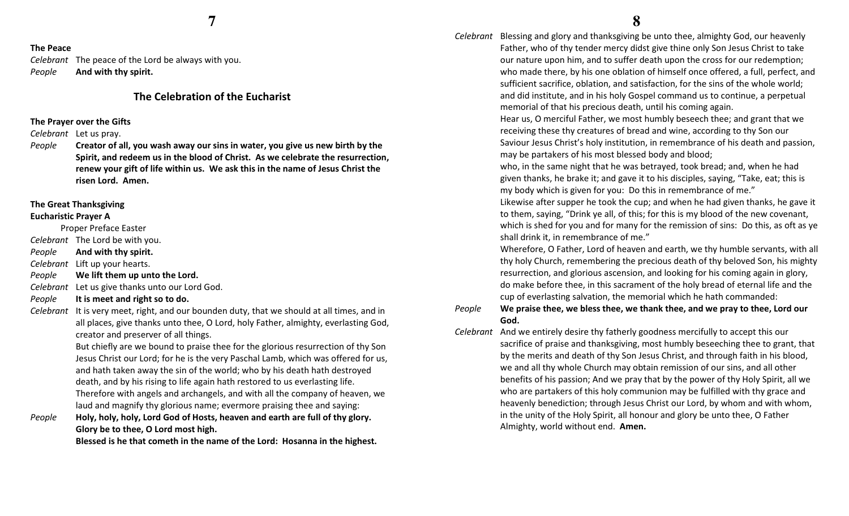# The Peace

Celebrant The peace of the Lord be always with you. PeopleAnd with thy spirit.

# The Celebration of the Eucharist

# The Prayer over the Gifts

Celebrant Let us pray.

People Creator of all, you wash away our sins in water, you give us new birth by the Spirit, and redeem us in the blood of Christ. As we celebrate the resurrection, renew your gift of life within us. We ask this in the name of Jesus Christ the risen Lord. Amen.

#### The Great Thanksgiving

## Eucharistic Prayer A

Proper Preface Easter

- Celebrant The Lord be with you.
- PeopleAnd with thy spirit.
- Celebrant Lift up your hearts.
- PeopleWe lift them up unto the Lord.
- Celebrant Let us give thanks unto our Lord God.
- PeopleIt is meet and right so to do.
- Celebrant It is very meet, right, and our bounden duty, that we should at all times, and in all places, give thanks unto thee, O Lord, holy Father, almighty, everlasting God, creator and preserver of all things.

But chiefly are we bound to praise thee for the glorious resurrection of thy Son Jesus Christ our Lord; for he is the very Paschal Lamb, which was offered for us, and hath taken away the sin of the world; who by his death hath destroyed death, and by his rising to life again hath restored to us everlasting life. Therefore with angels and archangels, and with all the company of heaven, we laud and magnify thy glorious name; evermore praising thee and saying:

 $e$  Holy, holy, holy, Lord God of Hosts, heaven and earth are full of thy glory. PeopleGlory be to thee, O Lord most high.

Blessed is he that cometh in the name of the Lord: Hosanna in the highest.

Celebrant Blessing and glory and thanksgiving be unto thee, almighty God, our heavenly Father, who of thy tender mercy didst give thine only Son Jesus Christ to take our nature upon him, and to suffer death upon the cross for our redemption; who made there, by his one oblation of himself once offered, a full, perfect, and sufficient sacrifice, oblation, and satisfaction, for the sins of the whole world; and did institute, and in his holy Gospel command us to continue, a perpetual memorial of that his precious death, until his coming again.

> Hear us, O merciful Father, we most humbly beseech thee; and grant that we receiving these thy creatures of bread and wine, according to thy Son our Saviour Jesus Christ's holy institution, in remembrance of his death and passion, may be partakers of his most blessed body and blood;

who, in the same night that he was betrayed, took bread; and, when he had given thanks, he brake it; and gave it to his disciples, saying, "Take, eat; this is my body which is given for you: Do this in remembrance of me."

Likewise after supper he took the cup; and when he had given thanks, he gave it to them, saying, "Drink ye all, of this; for this is my blood of the new covenant, which is shed for you and for many for the remission of sins: Do this, as oft as ye shall drink it, in remembrance of me."

Wherefore, O Father, Lord of heaven and earth, we thy humble servants, with all thy holy Church, remembering the precious death of thy beloved Son, his mighty resurrection, and glorious ascension, and looking for his coming again in glory, do make before thee, in this sacrament of the holy bread of eternal life and the cup of everlasting salvation, the memorial which he hath commanded:

#### People We praise thee, we bless thee, we thank thee, and we pray to thee, Lord our God.

Celebrant And we entirely desire thy fatherly goodness mercifully to accept this our sacrifice of praise and thanksgiving, most humbly beseeching thee to grant, that by the merits and death of thy Son Jesus Christ, and through faith in his blood, we and all thy whole Church may obtain remission of our sins, and all other benefits of his passion; And we pray that by the power of thy Holy Spirit, all we who are partakers of this holy communion may be fulfilled with thy grace and heavenly benediction; through Jesus Christ our Lord, by whom and with whom, in the unity of the Holy Spirit, all honour and glory be unto thee, O Father Almighty, world without end. Amen.